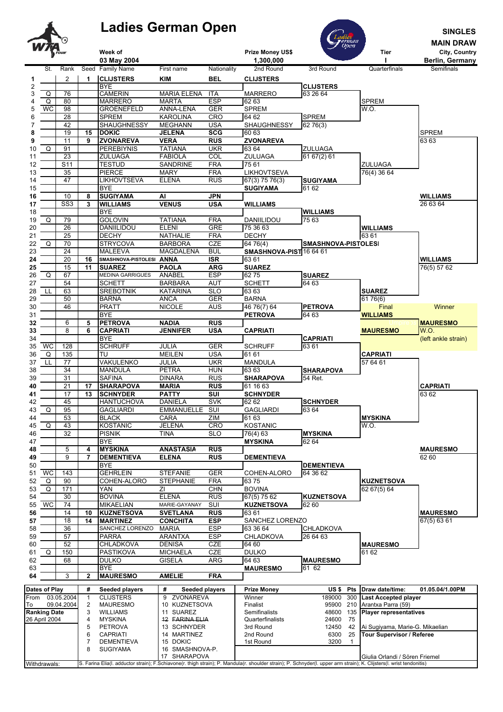## **Ladies German Open SINGLES**





|            | $\circ$<br><b>Perman</b><br>Open<br><b>MAIN DRAW</b> |                          |                                         |                                     |                              |                          |                                                                                                                                                                       |                          |              |                                            |                     |
|------------|------------------------------------------------------|--------------------------|-----------------------------------------|-------------------------------------|------------------------------|--------------------------|-----------------------------------------------------------------------------------------------------------------------------------------------------------------------|--------------------------|--------------|--------------------------------------------|---------------------|
|            | W704                                                 |                          |                                         | Week of                             |                              |                          | Prize Money US\$                                                                                                                                                      |                          |              | Tier                                       | City, Country       |
|            |                                                      |                          |                                         | 03 May 2004                         |                              |                          | 1,300,000                                                                                                                                                             |                          |              |                                            | Berlin, Germany     |
|            | St.                                                  | Rank                     |                                         | Seed Family Name                    | First name                   | Nationality              | 2nd Round                                                                                                                                                             | 3rd Round                |              | Quarterfinals                              | Semifinals          |
| 1          |                                                      | 2                        | $\blacktriangleleft$                    | <b>CLIJSTERS</b>                    | <b>KIM</b>                   | <b>BEL</b>               | <b>CLIJSTERS</b>                                                                                                                                                      |                          |              |                                            |                     |
| 2          |                                                      |                          |                                         | <b>BYE</b>                          |                              |                          |                                                                                                                                                                       | <b>CLIJSTERS</b>         |              |                                            |                     |
| 3          | Q                                                    | 76                       |                                         | <b>CAMERIN</b>                      | <b>MARIA ELENA</b>           | <b>ITA</b>               | <b>MARRERO</b>                                                                                                                                                        | 63 26 64                 |              |                                            |                     |
| 4          | Q                                                    | 80                       |                                         | <b>MARRERO</b>                      | <b>MARTA</b>                 | <b>ESP</b>               | 62 63                                                                                                                                                                 |                          |              | <b>SPREM</b><br>W.O.                       |                     |
| 5<br>6     | WC                                                   | 98<br>28                 |                                         | <b>GROENEFELD</b><br><b>SPREM</b>   | ANNA-LENA<br><b>KAROLINA</b> | <b>GER</b><br><b>CRO</b> | <b>SPREM</b><br>64 62                                                                                                                                                 | <b>SPREM</b>             |              |                                            |                     |
|            |                                                      | 42                       |                                         | SHAUGHNESSY                         | <b>MEGHANN</b>               | <b>USA</b>               | SHAUGHNESSY                                                                                                                                                           | 62 76(3)                 |              |                                            |                     |
| 8          |                                                      | 19                       | 15                                      | <b>DOKIC</b>                        | <b>JELENA</b>                | <b>SCG</b>               | 60 63                                                                                                                                                                 |                          |              |                                            | <b>SPREM</b>        |
| 9          |                                                      | 11                       | 9                                       | <b>ZVONAREVA</b>                    | <b>VERA</b>                  | <b>RUS</b>               | <b>ZVONAREVA</b>                                                                                                                                                      |                          |              |                                            | 63 63               |
| 10         | Q                                                    | 91                       |                                         | <b>PEREBIYNIS</b>                   | <b>TATIANA</b>               | <b>UKR</b>               | 63 64                                                                                                                                                                 | ZULUAGA                  |              |                                            |                     |
| 11         |                                                      | 23                       |                                         | <b>ZULUAGA</b>                      | <b>FABIOLA</b>               | COL                      | ZULUAGA                                                                                                                                                               | 61 67(2) 61              |              |                                            |                     |
| 12         |                                                      | S <sub>11</sub>          |                                         | <b>TESTUD</b>                       | SANDRINE                     | <b>FRA</b>               | 75 61                                                                                                                                                                 |                          |              | ZULUAGA                                    |                     |
| 13         |                                                      | 35                       |                                         | <b>PIERCE</b>                       | <b>MARY</b>                  | <b>FRA</b>               | <b>LIKHOVTSEVA</b>                                                                                                                                                    |                          |              | 76(4) 36 64                                |                     |
| 14         |                                                      | 47                       |                                         | <b>LIKHOVTSEVA</b>                  | <b>ELENA</b>                 | RUS                      | 67(3) 75 76(3)                                                                                                                                                        | <b>SUGIYAMA</b>          |              |                                            |                     |
| 15         |                                                      |                          |                                         | <b>BYE</b>                          |                              |                          | <b>SUGIYAMA</b>                                                                                                                                                       | 61 62                    |              |                                            |                     |
| 16         |                                                      | 10                       | 8                                       | <b>SUGIYAMA</b>                     | AI                           | <b>JPN</b>               |                                                                                                                                                                       |                          |              |                                            | <b>WILLIAMS</b>     |
| 17         |                                                      | SS <sub>3</sub>          | 3                                       | <b>WILLIAMS</b><br><b>BYE</b>       | <b>VENUS</b>                 | <b>USA</b>               | <b>WILLIAMS</b>                                                                                                                                                       |                          |              |                                            | 26 63 64            |
| 18<br>19   | Q                                                    | 79                       |                                         | <b>GOLOVIN</b>                      | <b>TATIANA</b>               | <b>FRA</b>               | DANIILIDOU                                                                                                                                                            | <b>WILLIAMS</b><br>75 63 |              |                                            |                     |
| 20         |                                                      | 26                       |                                         | DANIILIDOU                          | <b>ELENI</b>                 | <b>GRE</b>               | 75 36 63                                                                                                                                                              |                          |              | <b>WILLIAMS</b>                            |                     |
| 21         |                                                      | 25                       |                                         | <b>DECHY</b>                        | <b>NATHALIE</b>              | <b>FRA</b>               | <b>DECHY</b>                                                                                                                                                          |                          |              | 63 61                                      |                     |
| 22         | Q                                                    | 70                       |                                         | <b>STRYCOVA</b>                     | <b>BARBORA</b>               | <b>CZE</b>               | 64 76(4)                                                                                                                                                              | SMASHNOVA-PISTOLESI      |              |                                            |                     |
| 23         |                                                      | 24                       |                                         | <b>MALEEVA</b>                      | <b>MAGDALENA</b>             | <b>BUL</b>               | SMASHNOVA-PIST 16 64 61                                                                                                                                               |                          |              |                                            |                     |
| 24         |                                                      | 20                       | 16                                      | SMASHNOVA-PISTOLESI ANNA            |                              | $\overline{\text{ISR}}$  | 63 61                                                                                                                                                                 |                          |              |                                            | <b>WILLIAMS</b>     |
| 25         |                                                      | 15                       | 11                                      | <b>SUAREZ</b>                       | <b>PAOLA</b>                 | <b>ARG</b>               | <b>SUAREZ</b>                                                                                                                                                         |                          |              |                                            | 76(5) 57 62         |
| 26         | Q                                                    | 67                       |                                         | <b>MEDINA GARRIGUES</b>             | ANABEL                       | <b>ESP</b>               | 6275                                                                                                                                                                  | <b>SUAREZ</b>            |              |                                            |                     |
| 27         |                                                      | 54                       |                                         | <b>SCHETT</b>                       | <b>BARBARA</b>               | <b>AUT</b>               | <b>SCHETT</b>                                                                                                                                                         | 64 63                    |              |                                            |                     |
| 28         | LL                                                   | 63                       |                                         | <b>SREBOTNIK</b>                    | <b>KATARINA</b>              | $\overline{\text{SLO}}$  | 63 63                                                                                                                                                                 |                          |              | <b>SUAREZ</b>                              |                     |
| 29         |                                                      | 50                       |                                         | <b>BARNA</b>                        | <b>ANCA</b>                  | <b>GER</b>               | <b>BARNA</b>                                                                                                                                                          |                          |              | 61 76(6)                                   |                     |
| 30         |                                                      | 46                       |                                         | <b>PRATT</b>                        | <b>NICOLE</b>                | <b>AUS</b>               | 46 76(7) 64                                                                                                                                                           | PETROVA                  |              | Final                                      | Winner              |
| 31         |                                                      |                          |                                         | <b>BYE</b>                          |                              |                          | <b>PETROVA</b>                                                                                                                                                        | 64 63                    |              | <b>WILLIAMS</b>                            |                     |
| 32         |                                                      | 6                        | 5                                       | <b>PETROVA</b>                      | <b>NADIA</b>                 | <b>RUS</b>               |                                                                                                                                                                       |                          |              |                                            | <b>MAURESMO</b>     |
| 33         |                                                      | 8                        | 6                                       | <b>CAPRIATI</b>                     | <b>JENNIFER</b>              | <b>USA</b>               | <b>CAPRIATI</b>                                                                                                                                                       |                          |              | <b>MAURESMO</b>                            | <b>W.O.</b>         |
| 34<br>35   | WC                                                   | 128                      |                                         | <b>BYE</b><br><b>SCHRUFF</b>        | JULIA                        | <b>GER</b>               |                                                                                                                                                                       | <b>CAPRIATI</b><br>63 61 |              |                                            | (left ankle strain) |
| 36         | Q                                                    | 135                      |                                         | TU                                  | <b>MEILEN</b>                | <b>USA</b>               | <b>SCHRUFF</b><br>61 61                                                                                                                                               |                          |              | <b>CAPRIATI</b>                            |                     |
| 37         | LL                                                   | 77                       |                                         | VAKULENKO                           | JULIA                        | <b>UKR</b>               | <b>MANDULA</b>                                                                                                                                                        |                          |              | 57 64 61                                   |                     |
| 38         |                                                      | 34                       |                                         | <b>MANDULA</b>                      | <b>PETRA</b>                 | <b>HUN</b>               | 63 63                                                                                                                                                                 | <b>SHARAPOVA</b>         |              |                                            |                     |
| 39         |                                                      | 31                       |                                         | <b>SAFINA</b>                       | <b>DINARA</b>                | <b>RUS</b>               | <b>SHARAPOVA</b>                                                                                                                                                      | 54 Ret.                  |              |                                            |                     |
| 40         |                                                      | 21                       | 17                                      | <b>SHARAPOVA</b>                    | <b>MARIA</b>                 | <b>RUS</b>               | 61 16 63                                                                                                                                                              |                          |              |                                            | <b>CAPRIATI</b>     |
| 41         |                                                      | 17                       | 13                                      | <b>SCHNYDER</b>                     | <b>PATTY</b>                 | SUI                      | <b>SCHNYDER</b>                                                                                                                                                       |                          |              |                                            | 63 62               |
| 42         |                                                      | 45                       |                                         | <b>HANTUCHOVA</b>                   | DANIELA                      | <b>SVK</b>               | 62 62                                                                                                                                                                 | <b>SCHNYDER</b>          |              |                                            |                     |
| 43         | Q                                                    | 95                       |                                         | <b>GAGLIARDI</b>                    | <b>EMMANUELLE</b>            | SUI                      | <b>GAGLIARDI</b>                                                                                                                                                      | 63 64                    |              |                                            |                     |
| 44         |                                                      | 53                       |                                         | <b>BLACK</b>                        | CARA                         | ZIM                      | 61 63                                                                                                                                                                 |                          |              | <b>MYSKINA</b>                             |                     |
| 45         | Q                                                    | 43                       |                                         | <b>KOSTANIC</b>                     | <b>JELENA</b>                | CRO                      | <b>KOSTANIC</b>                                                                                                                                                       |                          |              | W.O.                                       |                     |
| 46         |                                                      | 32                       |                                         | <b>PISNIK</b>                       | TINA                         | <b>SLO</b>               | 76(4) 63                                                                                                                                                              | <b>MYSKINA</b>           |              |                                            |                     |
| 47         |                                                      |                          |                                         | <b>BYE</b>                          |                              |                          | <b>MYSKINA</b>                                                                                                                                                        | 62 64                    |              |                                            |                     |
| 48         |                                                      | 5                        | 4                                       | <b>MYSKINA</b>                      | <b>ANASTASIA</b>             | RUS                      |                                                                                                                                                                       |                          |              |                                            | <b>MAURESMO</b>     |
| 49         |                                                      | 9                        | 7                                       | <b>DEMENTIEVA</b>                   | <b>ELENA</b>                 | <b>RUS</b>               | <b>DEMENTIEVA</b>                                                                                                                                                     |                          |              |                                            | 62 60               |
| 50         |                                                      |                          |                                         | <b>BYE</b>                          |                              |                          |                                                                                                                                                                       | <b>DEMENTIEVA</b>        |              |                                            |                     |
| 51         | $\overline{WC}$                                      | 143                      |                                         | <b>GEHRLEIN</b>                     | <b>STEFANIE</b>              | <b>GER</b>               | COHEN-ALORO                                                                                                                                                           | 64 36 62                 |              |                                            |                     |
| 52         | Q                                                    | 90                       |                                         | COHEN-ALORO                         | <b>STEPHANIE</b>             | <b>FRA</b>               | 6375                                                                                                                                                                  |                          |              | <b>KUZNETSOVA</b>                          |                     |
| 53<br>54   | Q                                                    | 171<br>30                |                                         | YAN<br><b>BOVINA</b>                | ΖI<br><b>ELENA</b>           | <b>CHN</b><br><b>RUS</b> | <b>BOVINA</b><br>67(5) 75 62                                                                                                                                          | <b>KUZNETSOVA</b>        |              | 62 67(5) 64                                |                     |
| 55         | WC                                                   | $\overline{74}$          |                                         | <b>MIKAELIAN</b>                    | MARIE-GAYANAY                | SUI                      | <b>KUZNETSOVA</b>                                                                                                                                                     | 62 60                    |              |                                            |                     |
| 56         |                                                      | 14                       | 10                                      | <b>KUZNETSOVA</b>                   | <b>SVETLANA</b>              | <b>RUS</b>               | 63 61                                                                                                                                                                 |                          |              |                                            | <b>MAURESMO</b>     |
| 57         |                                                      | 18                       | 14                                      | <b>MARTINEZ</b>                     | <b>CONCHITA</b>              | <b>ESP</b>               | SANCHEZ LORENZO                                                                                                                                                       |                          |              |                                            | 67(5) 63 61         |
| 58         |                                                      | 36                       |                                         | SANCHEZ LORENZO                     | <b>MARIA</b>                 | <b>ESP</b>               | 63 36 64                                                                                                                                                              | CHLADKOVA                |              |                                            |                     |
| 59         |                                                      | 57                       |                                         | <b>PARRA</b>                        | <b>ARANTXA</b>               | <b>ESP</b>               | <b>CHLADKOVA</b>                                                                                                                                                      | 26 64 63                 |              |                                            |                     |
| 60         |                                                      | 52                       |                                         | <b>CHLADKOVA</b>                    | <b>DENISA</b>                | CZE                      | 64 60                                                                                                                                                                 |                          |              | <b>MAURESMO</b>                            |                     |
| 61         | Q                                                    | 150                      |                                         | <b>PASTIKOVA</b>                    | <b>MICHAELA</b>              | <b>CZE</b>               | <b>DULKO</b>                                                                                                                                                          |                          |              | 61 62                                      |                     |
| 62         |                                                      | 68                       |                                         | <b>DULKO</b>                        | <b>GISELA</b>                | ARG                      | 64 63                                                                                                                                                                 | <b>MAURESMO</b>          |              |                                            |                     |
| 63         |                                                      |                          |                                         | <b>BYE</b>                          |                              |                          | <b>MAURESMO</b>                                                                                                                                                       | 61 62                    |              |                                            |                     |
| 64         |                                                      | 3                        | $\mathbf{2}$                            | <b>MAURESMO</b>                     | <b>AMELIE</b>                | <b>FRA</b>               |                                                                                                                                                                       |                          |              |                                            |                     |
|            | <b>Dates of Play</b>                                 |                          | #                                       |                                     | #                            |                          |                                                                                                                                                                       |                          |              | Draw date/time:                            | 01.05.04/1.00PM     |
|            |                                                      |                          |                                         | Seeded players                      | Seeded players<br>9          |                          | <b>Prize Money</b>                                                                                                                                                    | US\$ Pts                 |              |                                            |                     |
| From<br>To |                                                      | 03.05.2004<br>09.04.2004 | $\mathbf{1}$<br>$\overline{\mathbf{c}}$ | <b>CLIJSTERS</b><br><b>MAURESMO</b> | ZVONAREVA<br>10 KUZNETSOVA   |                          | Winner<br>Finalist                                                                                                                                                    | 189000<br>95900 210      | 300          | Last Accepted player<br>Arantxa Parra (59) |                     |
|            | <b>Ranking Date</b>                                  |                          | 3                                       | <b>WILLIAMS</b>                     | 11 SUAREZ                    |                          | Semifinalists                                                                                                                                                         | 48600 135                |              | <b>Player representatives</b>              |                     |
|            | 26 April 2004                                        |                          | 4                                       | <b>MYSKINA</b>                      | 12 FARINA ELIA               |                          | Quarterfinalists                                                                                                                                                      | 24600                    | 75           |                                            |                     |
|            |                                                      |                          | 5                                       | <b>PETROVA</b>                      | 13 SCHNYDER                  |                          | 3rd Round                                                                                                                                                             | 12450                    | 42           | Ai Sugiyama, Marie-G. Mikaelian            |                     |
|            |                                                      |                          | 6                                       | <b>CAPRIATI</b>                     | 14 MARTINEZ                  |                          | 2nd Round                                                                                                                                                             | 6300                     | 25           | Tour Supervisor / Referee                  |                     |
|            |                                                      |                          | 7                                       | <b>DEMENTIEVA</b>                   | 15 DOKIC                     |                          | 1st Round                                                                                                                                                             | 3200                     | $\mathbf{1}$ |                                            |                     |
|            |                                                      |                          | 8                                       | <b>SUGIYAMA</b>                     | 16 SMASHNOVA-P.              |                          |                                                                                                                                                                       |                          |              |                                            |                     |
|            |                                                      |                          |                                         |                                     | 17 SHARAPOVA                 |                          |                                                                                                                                                                       |                          |              | Giulia Orlandi / Sören Friemel             |                     |
|            | Withdrawals:                                         |                          |                                         |                                     |                              |                          | S. Farina Elia(I. adductor strain); F.Schiavone(r. thigh strain); P. Mandula(r. shoulder strain); P. Schnyder(I. upper arm strain); K. Clijsters(I. wrist tendonitis) |                          |              |                                            |                     |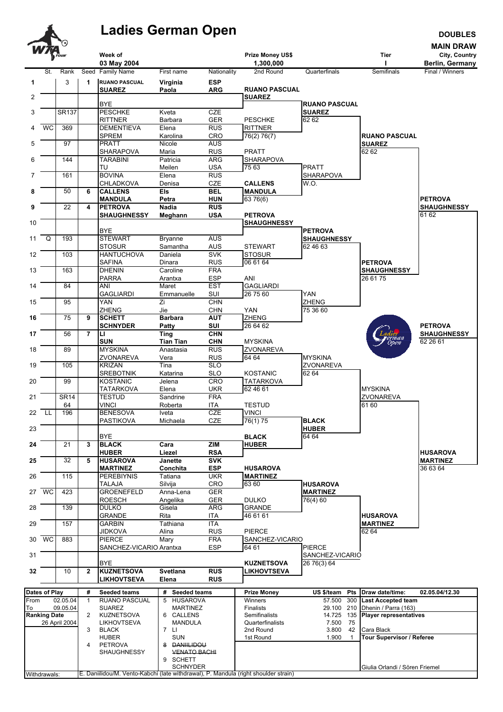

## Ladies German Open

**DOUBLES** 

|                | WTA                 | _ೡ            |                |                                                                                     |                                     |                          |                                         |                      |                                            | <b>MAIN DRAW</b>                 |
|----------------|---------------------|---------------|----------------|-------------------------------------------------------------------------------------|-------------------------------------|--------------------------|-----------------------------------------|----------------------|--------------------------------------------|----------------------------------|
|                |                     |               |                | Week of<br>03 May 2004                                                              |                                     |                          | Prize Money US\$<br>1,300,000           |                      | Tier                                       | City, Country<br>Berlin, Germany |
|                | St.                 | Rank          |                | Seed Family Name                                                                    | First name                          | Nationality              | 2nd Round                               | Quarterfinals        | Semifinals                                 | Final / Winners                  |
| 1              |                     | 3             | 1              | <b>RUANO PASCUAL</b>                                                                | Virginia                            | <b>ESP</b>               |                                         |                      |                                            |                                  |
|                |                     |               |                | <b>SUAREZ</b>                                                                       | Paola                               | <b>ARG</b>               | <b>RUANO PASCUAL</b>                    |                      |                                            |                                  |
| $\overline{2}$ |                     |               |                | <b>BYE</b>                                                                          |                                     |                          | <b>SUAREZ</b>                           | <b>RUANO PASCUAL</b> |                                            |                                  |
| 3              |                     | <b>SR137</b>  |                | <b>PESCHKE</b>                                                                      | Kveta                               | <b>CZE</b>               |                                         | <b>SUAREZ</b>        |                                            |                                  |
| 4              | <b>WC</b>           | 369           |                | <b>RITTNER</b><br><b>DEMENTIEVA</b>                                                 | Barbara<br>Elena                    | <b>GER</b><br><b>RUS</b> | <b>PESCHKE</b><br><b>RITTNER</b>        | 62 62                |                                            |                                  |
|                |                     |               |                | <b>SPREM</b>                                                                        | Karolina                            | CRO                      | 76(2) 76(7)                             |                      | <b>RUANO PASCUAL</b>                       |                                  |
| 5              |                     | 97            |                | <b>PRATT</b>                                                                        | Nicole                              | <b>AUS</b>               |                                         |                      | <b>SUAREZ</b>                              |                                  |
| 6              |                     | 144           |                | SHARAPOVA<br><b>TARABINI</b>                                                        | Maria<br>Patricia                   | <b>RUS</b><br><b>ARG</b> | <b>PRATT</b><br>SHARAPOVA               |                      | 62 62                                      |                                  |
|                |                     |               |                | TU                                                                                  | Meilen                              | <b>USA</b>               | 75 63                                   | <b>PRATT</b>         |                                            |                                  |
| $\overline{7}$ |                     | 161           |                | <b>BOVINA</b>                                                                       | Elena                               | RUS                      |                                         | <b>SHARAPOVA</b>     |                                            |                                  |
| 8              |                     | 50            | 6              | <b>CHLADKOVA</b><br><b>CALLENS</b>                                                  | Denisa<br><b>Els</b>                | <b>CZE</b><br><b>BEL</b> | <b>CALLENS</b><br><b>MANDULA</b>        | W.O.                 |                                            |                                  |
|                |                     |               |                | <b>MANDULA</b>                                                                      | Petra                               | <b>HUN</b>               | 63 76(6)                                |                      |                                            | <b>PETROVA</b>                   |
| 9              |                     | 22            | 4              | <b>PETROVA</b>                                                                      | <b>Nadia</b>                        | <b>RUS</b>               |                                         |                      |                                            | <b>SHAUGHNESSY</b>               |
| 10             |                     |               |                | <b>SHAUGHNESSY</b>                                                                  | Meghann                             | USA                      | <b>PETROVA</b><br><b>SHAUGHNESSY</b>    |                      |                                            | 61 62                            |
|                |                     |               |                | <b>BYE</b>                                                                          |                                     |                          |                                         | <b>PETROVA</b>       |                                            |                                  |
| 11             | Q                   | 193           |                | <b>STEWART</b>                                                                      | <b>Bryanne</b>                      | <b>AUS</b>               |                                         | <b>SHAUGHNESSY</b>   |                                            |                                  |
| 12             |                     | 103           |                | <b>STOSUR</b><br><b>HANTUCHOVA</b>                                                  | Samantha<br>Daniela                 | <b>AUS</b><br><b>SVK</b> | <b>STEWART</b><br><b>STOSUR</b>         | 62 46 63             |                                            |                                  |
|                |                     |               |                | <b>SAFINA</b>                                                                       | Dinara                              | <b>RUS</b>               | 06 61 64                                |                      | <b>PETROVA</b>                             |                                  |
| 13             |                     | 163           |                | <b>DHENIN</b>                                                                       | Caroline                            | <b>FRA</b>               |                                         |                      | <b>SHAUGHNESSY</b>                         |                                  |
| 14             |                     | 84            |                | <b>PARRA</b><br>ANI                                                                 | Arantxa<br>Maret                    | <b>ESP</b><br><b>EST</b> | ANI<br><b>GAGLIARDI</b>                 |                      | $\overline{26}$ 61 75                      |                                  |
|                |                     |               |                | <b>GAGLIARDI</b>                                                                    | Emmanuelle                          | SUI                      | 26 75 60                                | YAN                  |                                            |                                  |
| 15             |                     | 95            |                | <b>YAN</b>                                                                          | Zi                                  | <b>CHN</b>               |                                         | <b>ZHENG</b>         |                                            |                                  |
| 16             |                     | 75            | 9              | <b>ZHENG</b><br><b>SCHETT</b>                                                       | Jie<br><b>Barbara</b>               | <b>CHN</b><br><b>AUT</b> | <b>YAN</b><br>ZHENG                     | 75 36 60             |                                            |                                  |
|                |                     |               |                | <b>SCHNYDER</b>                                                                     | Patty                               | SUI                      | 26 64 62                                |                      |                                            | <b>PETROVA</b>                   |
| 17             |                     | 56            | $\overline{7}$ | п                                                                                   | <b>Ting</b>                         | <b>CHN</b>               |                                         |                      |                                            | <b>SHAUGHNESSY</b>               |
| 18             |                     | 89            |                | <b>SUN</b><br><b>MYSKINA</b>                                                        | <b>Tian Tian</b><br>Anastasia       | <b>CHN</b><br>RUS        | <b>MYSKINA</b><br>ZVONAREVA             |                      | Open                                       | 62 26 61                         |
|                |                     |               |                | ZVONAREVA                                                                           | Vera                                | <b>RUS</b>               | 64 64                                   | <b>MYSKINA</b>       |                                            |                                  |
| 19             |                     | 105           |                | <b>KRIZAN</b>                                                                       | Tina                                | <b>SLO</b>               |                                         | ZVONAREVA            |                                            |                                  |
| 20             |                     | 99            |                | <b>SREBOTNIK</b><br><b>KOSTANIC</b>                                                 | Katarina<br>Jelena                  | <b>SLO</b><br><b>CRO</b> | <b>KOSTANIC</b><br><b>TATARKOVA</b>     | 62 64                |                                            |                                  |
|                |                     |               |                | <b>TATARKOVA</b>                                                                    | Elena                               | <b>UKR</b>               | 62 46 61                                |                      | <b>MYSKINA</b>                             |                                  |
| 21             |                     | <b>SR14</b>   |                | <b>TESTUD</b>                                                                       | Sandrine                            | <b>FRA</b>               |                                         |                      | ZVONAREVA                                  |                                  |
| 22             | -LL                 | 64<br>196     |                | <b>VINCI</b><br><b>BENESOVA</b>                                                     | Roberta<br>Iveta                    | ITA<br><b>CZE</b>        | <b>TESTUD</b><br><b>VINCI</b>           |                      | 61 60                                      |                                  |
|                |                     |               |                | PASTIKOVA                                                                           | Michaela                            | CZE                      | 76(1) 75                                | <b>BLACK</b>         |                                            |                                  |
| 23             |                     |               |                |                                                                                     |                                     |                          |                                         | <b>HUBER</b>         |                                            |                                  |
| 24             |                     | 21            | 3              | <b>BYE</b><br><b>BLACK</b>                                                          | $\overline{Cara}$                   | ZIM                      | <b>BLACK</b><br><b>HUBER</b>            | 64 64                |                                            |                                  |
|                |                     |               |                | <b>HUBER</b>                                                                        | Liezel                              | <b>RSA</b>               |                                         |                      |                                            | <b>HUSAROVA</b>                  |
| 25             |                     | 32            | 5              | <b>HUSAROVA</b>                                                                     | <b>Janette</b>                      | <b>SVK</b>               |                                         |                      |                                            | <b>MARTINEZ</b>                  |
| 26             |                     | 115           |                | <b>MARTINEZ</b><br><b>PEREBIYNIS</b>                                                | Conchita<br>Tatiana                 | <b>ESP</b><br><b>UKR</b> | <b>HUSAROVA</b><br><b>MARTINEZ</b>      |                      |                                            | 36 63 64                         |
|                |                     |               |                | <b>TALAJA</b>                                                                       | Silvija                             | CRO                      | 63 60                                   | <b>HUSAROVA</b>      |                                            |                                  |
|                | 27 WC               | 423           |                | <b>GROENEFELD</b>                                                                   | Anna-Lena                           | <b>GER</b>               |                                         | <b>MARTINEZ</b>      |                                            |                                  |
| 28             |                     | 139           |                | <b>ROESCH</b><br><b>DULKO</b>                                                       | Angelika<br>Gisela                  | <b>GER</b><br>ARG        | <b>DULKO</b><br><b>GRANDE</b>           | 76(4) 60             |                                            |                                  |
|                |                     |               |                | <b>GRANDE</b>                                                                       | Rita                                | ITA                      | 46 61 61                                |                      | <b>HUSAROVA</b>                            |                                  |
| 29             |                     | 157           |                | <b>GARBIN</b>                                                                       | Tathiana                            | <b>ITA</b>               |                                         |                      | <b>MARTINEZ</b>                            |                                  |
| 30             | $\overline{WC}$     | 883           |                | <b>JIDKOVA</b><br><b>PIERCE</b>                                                     | Alina<br>Mary                       | <b>RUS</b><br><b>FRA</b> | <b>PIERCE</b><br>SANCHEZ-VICARIO        |                      | 62 64                                      |                                  |
|                |                     |               |                | SANCHEZ-VICARIO Arantxa                                                             |                                     | <b>ESP</b>               | 64 61                                   | <b>PIERCE</b>        |                                            |                                  |
| 31             |                     |               |                |                                                                                     |                                     |                          |                                         | SANCHEZ-VICARIO      |                                            |                                  |
| 32             |                     | 10            | $\mathbf{2}$   | <b>BYE</b><br><b>KUZNETSOVA</b>                                                     | Svetlana                            | <b>RUS</b>               | <b>KUZNETSOVA</b><br><b>LIKHOVTSEVA</b> | 26 76(3) 64          |                                            |                                  |
|                |                     |               |                | <b>LIKHOVTSEVA</b>                                                                  | Elena                               | <b>RUS</b>               |                                         |                      |                                            |                                  |
|                | Dates of Play       |               | #              | Seeded teams                                                                        | # Seeded teams                      |                          | <b>Prize Money</b>                      |                      | US \$/team Pts Draw date/time:             | 02.05.04/12.30                   |
| From           |                     | 02.05.04      | 1              | RUANO PASCUAL                                                                       | 5 HUSAROVA                          |                          | Winners                                 | 57.500               | 300 Last Accepted team                     |                                  |
| To             |                     | 09.05.04      |                | <b>SUAREZ</b>                                                                       | <b>MARTINEZ</b>                     |                          | <b>Finalists</b>                        |                      | 29.100 210 Dhenin / Parra (163)            |                                  |
|                | <b>Ranking Date</b> | 26 April 2004 | 2              | <b>KUZNETSOVA</b><br>LIKHOVTSEVA                                                    | 6 CALLENS<br><b>MANDULA</b>         |                          | Semifinalists<br>Quarterfinalists       | 14.725<br>7.500      | 135<br><b>Player representatives</b><br>75 |                                  |
|                |                     |               | 3              | <b>BLACK</b>                                                                        | 7 LI                                |                          | 2nd Round                               | 3.800                | 42<br>Cara Black                           |                                  |
|                |                     |               |                | <b>HUBER</b>                                                                        | <b>SUN</b>                          |                          | 1st Round                               | 1.900                | Tour Supervisor / Referee<br>$\mathbf{1}$  |                                  |
|                |                     |               | 4              | <b>PETROVA</b><br>SHAUGHNESSY                                                       | 8 DANIILIDOU<br><b>VENATO BACHI</b> |                          |                                         |                      |                                            |                                  |
|                |                     |               |                |                                                                                     | 9 SCHETT                            |                          |                                         |                      |                                            |                                  |
|                | Withdrawals:        |               |                | E. Daniilidou/M. Vento-Kabchi (late withdrawal). P. Mandula (right shoulder strain) | <b>SCHNYDER</b>                     |                          |                                         |                      | Giulia Orlandi / Sören Friemel             |                                  |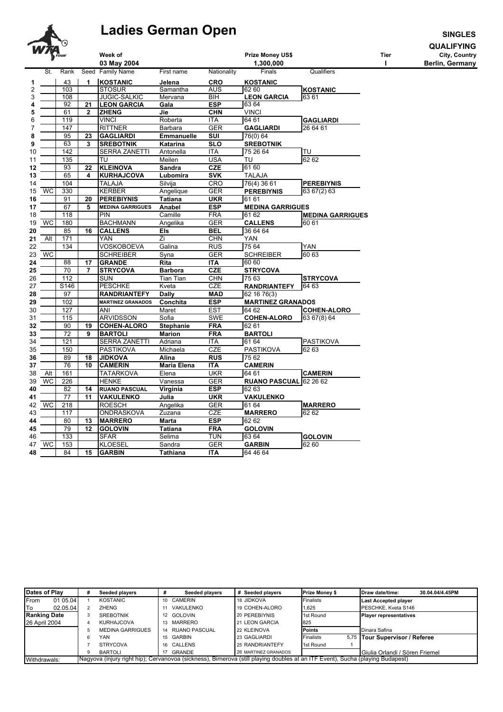

## **Ladies German Open**

**SINGLES** 

**QUALIFYING** 

Tier  $\mathbf{I}$ 

City, Country<br>Berlin, Germany

|    | $\frac{1}{\sqrt{\frac{1}{2}}}$ |      |                 | Week of<br>03 May 2004   |                  |             | Prize Money US\$<br>1,300,000 |                         |
|----|--------------------------------|------|-----------------|--------------------------|------------------|-------------|-------------------------------|-------------------------|
|    | St.                            | Rank |                 | Seed Family Name         | First name       | Nationality | Finals                        | Qualifiers              |
| 1  |                                | 43   | 1               | <b>KOSTANIC</b>          | Jelena           | CRO         | KOSTANIC                      |                         |
| 2  |                                | 103  |                 | <b>STOSUR</b>            | Samantha         | <b>AUS</b>  | 62 60                         | <b>KOSTANIC</b>         |
| 3  |                                | 108  |                 | <b>JUGIC-SALKIC</b>      | Mervana          | BIH         | <b>LEON GARCIA</b>            | 63 61                   |
| 4  |                                | 92   | $\overline{21}$ | <b>LEON GARCIA</b>       | Gala             | ESP         | 63 64                         |                         |
| 5  |                                | 61   | $\overline{2}$  | <b>ZHENG</b>             | Jie              | <b>CHN</b>  | VINCI                         |                         |
| 6  |                                | 119  |                 | <b>VINCI</b>             | Roberta          | <b>ITA</b>  | 64 61                         | <b>GAGLIARDI</b>        |
| 7  |                                | 147  |                 | <b>RITTNER</b>           | Barbara          | <b>GER</b>  | <b>GAGLIARDI</b>              | 26 64 61                |
| 8  |                                | 95   | 23              | <b>GAGLIARDI</b>         | Emmanuelle       | SUI         | 76(0) 64                      |                         |
| 9  |                                | 63   | 3               | <b>SREBOTNIK</b>         | Katarina         | <b>SLO</b>  | <b>SREBOTNIK</b>              |                         |
| 10 |                                | 142  |                 | <b>SERRA ZANETTI</b>     | Antonella        | <b>ITA</b>  | 75 26 64                      | TU                      |
| 11 |                                | 135  |                 | TU                       | Meilen           | <b>USA</b>  | TU                            | 6262                    |
| 12 |                                | 93   | 22              | <b>KLEINOVA</b>          | <b>Sandra</b>    | <b>CZE</b>  | 61 60                         |                         |
| 13 |                                | 65   | 4               | <b>KURHAJCOVA</b>        | Lubomira         | <b>SVK</b>  | TALAJA                        |                         |
| 14 |                                | 104  |                 | TALAJA                   | Silvija          | <b>CRO</b>  | 76(4) 36 61                   | <b>PEREBIYNIS</b>       |
| 15 | <b>WC</b>                      | 330  |                 | <b>KERBER</b>            | Angelique        | GER         | <b>PEREBIYNIS</b>             | 63 67(2) 63             |
| 16 |                                | 91   | 20              | <b>PEREBIYNIS</b>        | Tatiana          | <b>UKR</b>  | 61 61                         |                         |
| 17 |                                | 67   | 5               | <b>MEDINA GARRIGUES</b>  | Anabel           | <b>ESP</b>  | <b>MEDINA GARRIGUES</b>       |                         |
| 18 |                                | 118  |                 | <b>PIN</b>               | Camille          | <b>FRA</b>  | 61 62                         | <b>MEDINA GARRIGUES</b> |
| 19 | WC                             | 180  |                 | <b>BACHMANN</b>          | Angelika         | <b>GER</b>  | <b>CALLENS</b>                | 60 61                   |
| 20 |                                | 85   | 16              | <b>CALLENS</b>           | Els              | BEL         | 36 64 64                      |                         |
| 21 | Alt                            | 171  |                 | <b>YAN</b>               | Zi               | <b>CHN</b>  | <b>YAN</b>                    |                         |
| 22 |                                | 134  |                 | VOSKOBOEVA               | Galina           | <b>RUS</b>  | 75 64                         | <b>YAN</b>              |
| 23 | WC                             |      |                 | <b>SCHREIBER</b>         | Syna             | GER         | <b>SCHREIBER</b>              | 60 63                   |
| 24 |                                | 88   | 17              | <b>GRANDE</b>            | Rita             | <b>ITA</b>  | 60 60                         |                         |
| 25 |                                | 70   | 7               | <b>STRYCOVA</b>          | <b>Barbora</b>   | <b>CZE</b>  | <b>STRYCOVA</b>               |                         |
| 26 |                                | 112  |                 | SUN                      | Tian Tian        | <b>CHN</b>  | 75 63                         | <b>STRYCOVA</b>         |
| 27 |                                | S146 |                 | <b>PESCHKE</b>           | Kveta            | <b>CZE</b>  | <b>RANDRIANTEFY</b>           | 64 63                   |
| 28 |                                | 97   |                 | <b>RANDRIANTEFY</b>      | <b>Dally</b>     | <b>MAD</b>  | 62 16 76(3)                   |                         |
| 29 |                                | 102  |                 | <b>MARTINEZ GRANADOS</b> | Conchita         | <b>ESP</b>  | <b>MARTINEZ GRANADOS</b>      |                         |
| 30 |                                | 127  |                 | ANI                      | Maret            | <b>EST</b>  | 64 62                         | <b>COHEN-ALORO</b>      |
| 31 |                                | 115  |                 | <b>ARVIDSSON</b>         | Sofia            | <b>SWE</b>  | <b>COHEN-ALORO</b>            | 63 67(8) 64             |
| 32 |                                | 90   | 19              | <b>COHEN-ALORO</b>       | <b>Stephanie</b> | <b>FRA</b>  | 62 61                         |                         |
| 33 |                                | 72   | 9               | <b>BARTOLI</b>           | <b>Marion</b>    | <b>FRA</b>  | <b>BARTOLI</b>                |                         |
| 34 |                                | 121  |                 | <b>SERRA ZANETTI</b>     | Adriana          | <b>ITA</b>  | 61 64                         | <b>PASTIKOVA</b>        |
| 35 |                                | 150  |                 | <b>PASTIKOVA</b>         | Michaela         | <b>CZE</b>  | PASTIKOVA                     | 62 63                   |
| 36 |                                | 89   | 18              | <b>JIDKOVA</b>           | Alina            | <b>RUS</b>  | 75 62                         |                         |
| 37 |                                | 76   | 10              | <b>CAMERIN</b>           | Maria Elena      | <b>ITA</b>  | <b>CAMERIN</b>                |                         |
| 38 | Alt                            | 161  |                 | <b>TATARKOVA</b>         | Elena            | <b>UKR</b>  | 64 61                         | <b>CAMERIN</b>          |
| 39 | <b>WC</b>                      | 226  |                 | <b>HENKE</b>             | Vanessa          | <b>GER</b>  | RUANO PASCUAL 62 26 62        |                         |
| 40 |                                | 82   | 14              | <b>RUANO PASCUAL</b>     | Virginia         | <b>ESP</b>  | 62 63                         |                         |
| 41 |                                | 77   | 11              | <b>VAKULENKO</b>         | Julia            | <b>UKR</b>  | VAKULENKO                     |                         |
| 42 | WC                             | 218  |                 | <b>ROESCH</b>            | Angelika         | <b>GER</b>  | 61 64                         | <b>MARRERO</b>          |
| 43 |                                | 117  |                 | ONDRASKOVA               | Zuzana           | CZE         | <b>MARRERO</b>                | 62 62                   |
| 44 |                                | 80   | 13              | <b>MARRERO</b>           | Marta            | <b>ESP</b>  | 62 62                         |                         |
| 45 |                                | 79   | 12              | <b>GOLOVIN</b>           | Tatiana          | <b>FRA</b>  | <b>GOLOVIN</b>                |                         |
| 46 |                                | 133  |                 | <b>SFAR</b>              | Selima           | TUN         | 63 64                         | <b>GOLOVIN</b>          |
| 47 | <b>WC</b>                      | 153  |                 | KLOESEL                  | Sandra           | <b>GER</b>  | <b>GARBIN</b>                 | 62 60                   |
| 48 |                                | 84   | 15              | <b>GARBIN</b>            | Tathiana         | <b>ITA</b>  | 64 46 64                      |                         |

| Dates of Play |                     | # | Seeded players          | Seeded players                                                                                                                 | Seeded players<br>#  | <b>Prize Money \$</b> | 30.04.04/4.45PM<br>Draw date/time: |
|---------------|---------------------|---|-------------------------|--------------------------------------------------------------------------------------------------------------------------------|----------------------|-----------------------|------------------------------------|
| From          | 01 05.04            |   | <b>KOSTANIC</b>         | CAMERIN<br>10 <sup>1</sup>                                                                                                     | 18 JIDKOVA           | Finalists             | <b>Last Accepted player</b>        |
| lTo           | 02.05.04            |   | ZHENG                   | VAKULENKO                                                                                                                      | 19 COHEN-ALORO       | 1,625                 | PESCHKE, Kveta S146                |
|               | <b>Ranking Date</b> |   | <b>SREBOTNIK</b>        | <b>GOLOVIN</b><br>12                                                                                                           | 20 PEREBIYNIS        | 1st Round             | <b>Player representatives</b>      |
| 26 April 2004 |                     |   | KURHAJCOVA              | MARRERO<br>13                                                                                                                  | 21 LEON GARCIA       | 825                   |                                    |
|               |                     |   | <b>MEDINA GARRIGUES</b> | <b>RUANO PASCUAL</b><br>14                                                                                                     | 22 KLEINOVA          | <b>Points</b>         | Dinara Safina                      |
|               |                     |   | YAN                     | GARBIN<br>15                                                                                                                   | 23 GAGLIARDI         | Finalists             | 5.75 Tour Supervisor / Referee     |
|               |                     |   | <b>STRYCOVA</b>         | CALLENS<br>16                                                                                                                  | 25 RANDRIANTEFY      | 1st Round             |                                    |
|               |                     |   | <b>BARTOLI</b>          | GRANDE                                                                                                                         | 26 MARTINEZ GRANADOS |                       | Giulia Orlandi / Sören Friemel     |
| Withdrawals:  |                     |   |                         | Nagyova (injury right hip); Cervanovoa (sickness), Birnerova (still playing doubles at an ITF Event), Sucha (playing Budapest) |                      |                       |                                    |